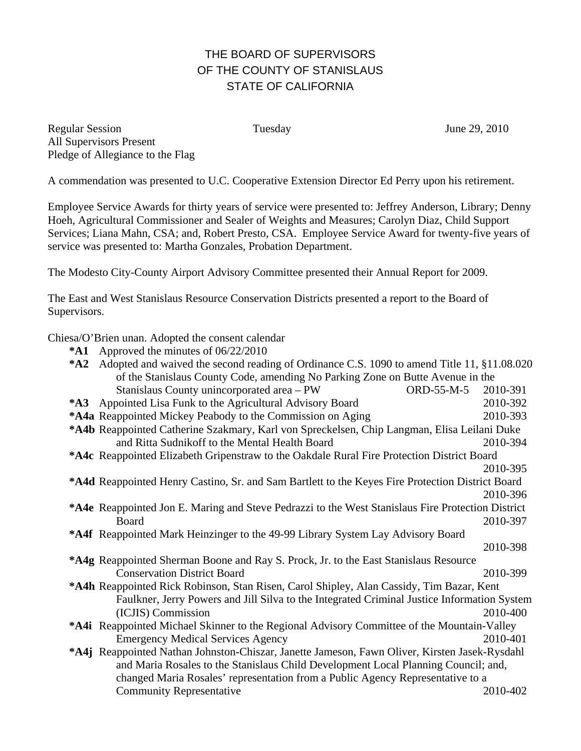## THE BOARD OF SUPERVISORS OF THE COUNTY OF STANISLAUS STATE OF CALIFORNIA

Regular Session Tuesday June 29, 2010 All Supervisors Present Pledge of Allegiance to the Flag

A commendation was presented to U.C. Cooperative Extension Director Ed Perry upon his retirement.

Employee Service Awards for thirty years of service were presented to: Jeffrey Anderson, Library; Denny Hoeh, Agricultural Commissioner and Sealer of Weights and Measures; Carolyn Diaz, Child Support Services; Liana Mahn, CSA; and, Robert Presto, CSA. Employee Service Award for twenty-five years of service was presented to: Martha Gonzales, Probation Department.

The Modesto City-County Airport Advisory Committee presented their Annual Report for 2009.

The East and West Stanislaus Resource Conservation Districts presented a report to the Board of Supervisors.

Chiesa/O'Brien unan. Adopted the consent calendar

|  | <b>*A1</b> Approved the minutes of $06/22/2010$ |
|--|-------------------------------------------------|
|  |                                                 |

| $*A2$                                                                                             | Adopted and waived the second reading of Ordinance C.S. 1090 to amend Title 11, §11.08.020              |          |  |  |
|---------------------------------------------------------------------------------------------------|---------------------------------------------------------------------------------------------------------|----------|--|--|
|                                                                                                   | of the Stanislaus County Code, amending No Parking Zone on Butte Avenue in the                          |          |  |  |
|                                                                                                   | Stanislaus County unincorporated area - PW<br>ORD-55-M-5                                                | 2010-391 |  |  |
| $*$ A3                                                                                            | Appointed Lisa Funk to the Agricultural Advisory Board                                                  | 2010-392 |  |  |
|                                                                                                   | *A4a Reappointed Mickey Peabody to the Commission on Aging                                              | 2010-393 |  |  |
| *A4b Reappointed Catherine Szakmary, Karl von Spreckelsen, Chip Langman, Elisa Leilani Duke       |                                                                                                         |          |  |  |
|                                                                                                   | and Ritta Sudnikoff to the Mental Health Board                                                          | 2010-394 |  |  |
|                                                                                                   | *A4c Reappointed Elizabeth Gripenstraw to the Oakdale Rural Fire Protection District Board              |          |  |  |
|                                                                                                   |                                                                                                         | 2010-395 |  |  |
|                                                                                                   | <b>*A4d</b> Reappointed Henry Castino, Sr. and Sam Bartlett to the Keyes Fire Protection District Board |          |  |  |
|                                                                                                   |                                                                                                         | 2010-396 |  |  |
| *A4e Reappointed Jon E. Maring and Steve Pedrazzi to the West Stanislaus Fire Protection District |                                                                                                         |          |  |  |
|                                                                                                   | Board                                                                                                   | 2010-397 |  |  |
|                                                                                                   | *A4f Reappointed Mark Heinzinger to the 49-99 Library System Lay Advisory Board                         |          |  |  |
|                                                                                                   |                                                                                                         | 2010-398 |  |  |
| *A4g Reappointed Sherman Boone and Ray S. Prock, Jr. to the East Stanislaus Resource              |                                                                                                         |          |  |  |
|                                                                                                   | <b>Conservation District Board</b>                                                                      | 2010-399 |  |  |
|                                                                                                   | *A4h Reappointed Rick Robinson, Stan Risen, Carol Shipley, Alan Cassidy, Tim Bazar, Kent                |          |  |  |
|                                                                                                   | Faulkner, Jerry Powers and Jill Silva to the Integrated Criminal Justice Information System             |          |  |  |
|                                                                                                   | (ICJIS) Commission                                                                                      | 2010-400 |  |  |
| *A4i Reappointed Michael Skinner to the Regional Advisory Committee of the Mountain-Valley        |                                                                                                         |          |  |  |
|                                                                                                   | <b>Emergency Medical Services Agency</b>                                                                | 2010-401 |  |  |
| *A4j Reappointed Nathan Johnston-Chiszar, Janette Jameson, Fawn Oliver, Kirsten Jasek-Rysdahl     |                                                                                                         |          |  |  |
| and Maria Rosales to the Stanislaus Child Development Local Planning Council; and,                |                                                                                                         |          |  |  |
| changed Maria Rosales' representation from a Public Agency Representative to a                    |                                                                                                         |          |  |  |
|                                                                                                   | <b>Community Representative</b>                                                                         | 2010-402 |  |  |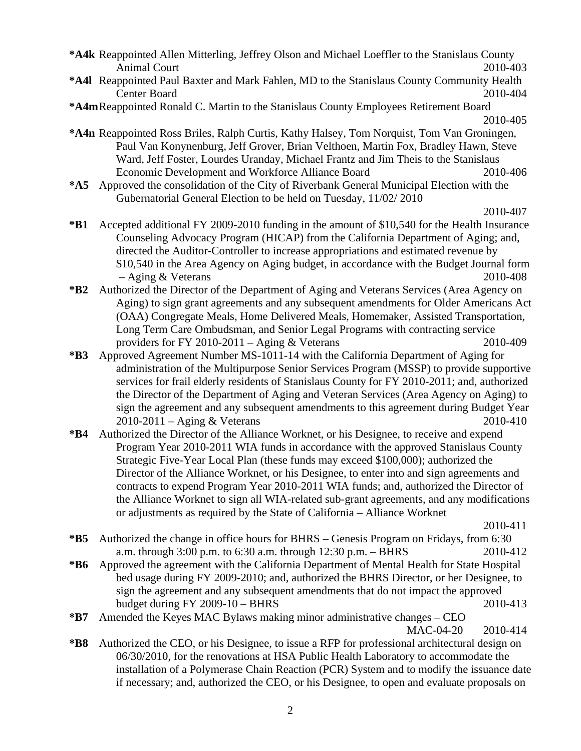**\*A4k** Reappointed Allen Mitterling, Jeffrey Olson and Michael Loeffler to the Stanislaus County Animal Court 2010-403

- **\*A4l** Reappointed Paul Baxter and Mark Fahlen, MD to the Stanislaus County Community Health Center Board 2010-404
- **\*A4m** Reappointed Ronald C. Martin to the Stanislaus County Employees Retirement Board 2010-405
- **\*A4n** Reappointed Ross Briles, Ralph Curtis, Kathy Halsey, Tom Norquist, Tom Van Groningen, Paul Van Konynenburg, Jeff Grover, Brian Velthoen, Martin Fox, Bradley Hawn, Steve Ward, Jeff Foster, Lourdes Uranday, Michael Frantz and Jim Theis to the Stanislaus Economic Development and Workforce Alliance Board 2010-406
- **\*A5** Approved the consolidation of the City of Riverbank General Municipal Election with the Gubernatorial General Election to be held on Tuesday, 11/02/ 2010

- **\*B1** Accepted additional FY 2009-2010 funding in the amount of \$10,540 for the Health Insurance Counseling Advocacy Program (HICAP) from the California Department of Aging; and, directed the Auditor-Controller to increase appropriations and estimated revenue by \$10,540 in the Area Agency on Aging budget, in accordance with the Budget Journal form – Aging & Veterans 2010-408
- **\*B2** Authorized the Director of the Department of Aging and Veterans Services (Area Agency on Aging) to sign grant agreements and any subsequent amendments for Older Americans Act (OAA) Congregate Meals, Home Delivered Meals, Homemaker, Assisted Transportation, Long Term Care Ombudsman, and Senior Legal Programs with contracting service providers for FY 2010-2011 – Aging & Veterans 2010-409
- **\*B3** Approved Agreement Number MS-1011-14 with the California Department of Aging for administration of the Multipurpose Senior Services Program (MSSP) to provide supportive services for frail elderly residents of Stanislaus County for FY 2010-2011; and, authorized the Director of the Department of Aging and Veteran Services (Area Agency on Aging) to sign the agreement and any subsequent amendments to this agreement during Budget Year 2010-2011 – Aging & Veterans 2010-410
- **\*B4** Authorized the Director of the Alliance Worknet, or his Designee, to receive and expend Program Year 2010-2011 WIA funds in accordance with the approved Stanislaus County Strategic Five-Year Local Plan (these funds may exceed \$100,000); authorized the Director of the Alliance Worknet, or his Designee, to enter into and sign agreements and contracts to expend Program Year 2010-2011 WIA funds; and, authorized the Director of the Alliance Worknet to sign all WIA-related sub-grant agreements, and any modifications or adjustments as required by the State of California – Alliance Worknet

- **\*B5** Authorized the change in office hours for BHRS Genesis Program on Fridays, from 6:30 a.m. through 3:00 p.m. to 6:30 a.m. through 12:30 p.m. – BHRS 2010-412
- **\*B6** Approved the agreement with the California Department of Mental Health for State Hospital bed usage during FY 2009-2010; and, authorized the BHRS Director, or her Designee, to sign the agreement and any subsequent amendments that do not impact the approved budget during FY 2009-10 – BHRS 2010-413

## **\*B7** Amended the Keyes MAC Bylaws making minor administrative changes – CEO MAC-04-20 2010-414

**\*B8** Authorized the CEO, or his Designee, to issue a RFP for professional architectural design on 06/30/2010, for the renovations at HSA Public Health Laboratory to accommodate the installation of a Polymerase Chain Reaction (PCR) System and to modify the issuance date if necessary; and, authorized the CEO, or his Designee, to open and evaluate proposals on

2010-407

2010-411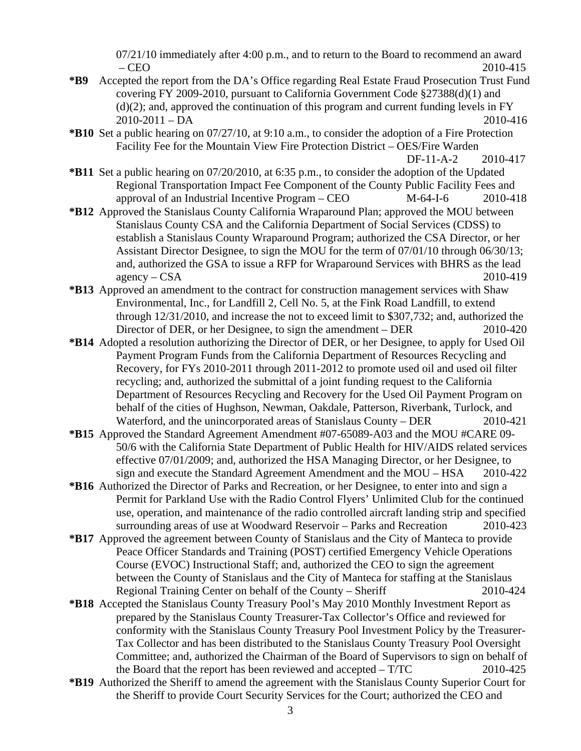07/21/10 immediately after 4:00 p.m., and to return to the Board to recommend an award – CEO 2010-415

- **\*B9** Accepted the report from the DA's Office regarding Real Estate Fraud Prosecution Trust Fund covering FY 2009-2010, pursuant to California Government Code §27388(d)(1) and  $(d)(2)$ ; and, approved the continuation of this program and current funding levels in FY 2010-2011 – DA 2010-416
- **\*B10** Set a public hearing on 07/27/10, at 9:10 a.m., to consider the adoption of a Fire Protection Facility Fee for the Mountain View Fire Protection District – OES/Fire Warden

- **\*B11** Set a public hearing on 07/20/2010, at 6:35 p.m., to consider the adoption of the Updated Regional Transportation Impact Fee Component of the County Public Facility Fees and approval of an Industrial Incentive Program – CEO M-64-I-6 2010-418
- **\*B12** Approved the Stanislaus County California Wraparound Plan; approved the MOU between Stanislaus County CSA and the California Department of Social Services (CDSS) to establish a Stanislaus County Wraparound Program; authorized the CSA Director, or her Assistant Director Designee, to sign the MOU for the term of 07/01/10 through 06/30/13; and, authorized the GSA to issue a RFP for Wraparound Services with BHRS as the lead agency – CSA 2010-419
- **\*B13** Approved an amendment to the contract for construction management services with Shaw Environmental, Inc., for Landfill 2, Cell No. 5, at the Fink Road Landfill, to extend through 12/31/2010, and increase the not to exceed limit to \$307,732; and, authorized the Director of DER, or her Designee, to sign the amendment – DER 2010-420
- **\*B14** Adopted a resolution authorizing the Director of DER, or her Designee, to apply for Used Oil Payment Program Funds from the California Department of Resources Recycling and Recovery, for FYs 2010-2011 through 2011-2012 to promote used oil and used oil filter recycling; and, authorized the submittal of a joint funding request to the California Department of Resources Recycling and Recovery for the Used Oil Payment Program on behalf of the cities of Hughson, Newman, Oakdale, Patterson, Riverbank, Turlock, and Waterford, and the unincorporated areas of Stanislaus County – DER 2010-421
- **\*B15** Approved the Standard Agreement Amendment #07-65089-A03 and the MOU #CARE 09- 50/6 with the California State Department of Public Health for HIV/AIDS related services effective 07/01/2009; and, authorized the HSA Managing Director, or her Designee, to sign and execute the Standard Agreement Amendment and the MOU – HSA 2010-422
- **\*B16** Authorized the Director of Parks and Recreation, or her Designee, to enter into and sign a Permit for Parkland Use with the Radio Control Flyers' Unlimited Club for the continued use, operation, and maintenance of the radio controlled aircraft landing strip and specified surrounding areas of use at Woodward Reservoir – Parks and Recreation 2010-423
- **\*B17** Approved the agreement between County of Stanislaus and the City of Manteca to provide Peace Officer Standards and Training (POST) certified Emergency Vehicle Operations Course (EVOC) Instructional Staff; and, authorized the CEO to sign the agreement between the County of Stanislaus and the City of Manteca for staffing at the Stanislaus Regional Training Center on behalf of the County – Sheriff 2010-424
- **\*B18** Accepted the Stanislaus County Treasury Pool's May 2010 Monthly Investment Report as prepared by the Stanislaus County Treasurer-Tax Collector's Office and reviewed for conformity with the Stanislaus County Treasury Pool Investment Policy by the Treasurer-Tax Collector and has been distributed to the Stanislaus County Treasury Pool Oversight Committee; and, authorized the Chairman of the Board of Supervisors to sign on behalf of the Board that the report has been reviewed and accepted – T/TC 2010-425
- **\*B19** Authorized the Sheriff to amend the agreement with the Stanislaus County Superior Court for the Sheriff to provide Court Security Services for the Court; authorized the CEO and

DF-11-A-2 2010-417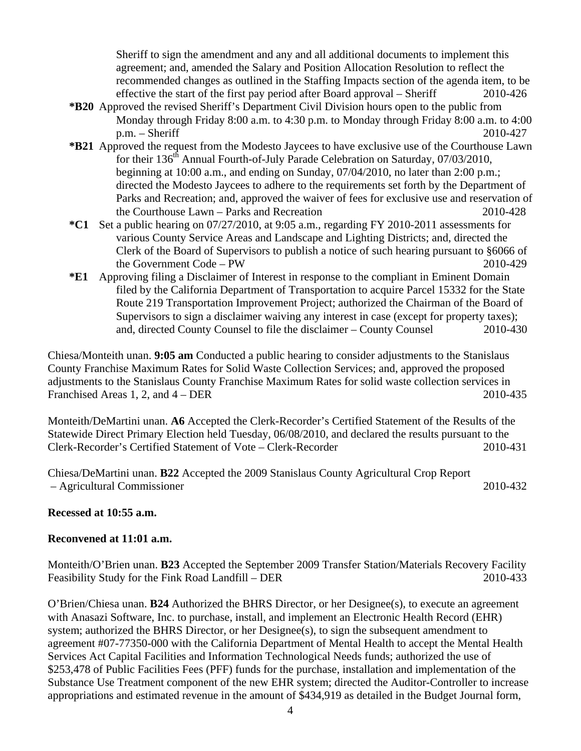Sheriff to sign the amendment and any and all additional documents to implement this agreement; and, amended the Salary and Position Allocation Resolution to reflect the recommended changes as outlined in the Staffing Impacts section of the agenda item, to be effective the start of the first pay period after Board approval – Sheriff 2010-426

- **\*B20** Approved the revised Sheriff's Department Civil Division hours open to the public from Monday through Friday 8:00 a.m. to 4:30 p.m. to Monday through Friday 8:00 a.m. to 4:00 p.m. – Sheriff 2010-427
- **\*B21** Approved the request from the Modesto Jaycees to have exclusive use of the Courthouse Lawn for their  $136<sup>th</sup>$  Annual Fourth-of-July Parade Celebration on Saturday, 07/03/2010, beginning at 10:00 a.m., and ending on Sunday, 07/04/2010, no later than 2:00 p.m.; directed the Modesto Jaycees to adhere to the requirements set forth by the Department of Parks and Recreation; and, approved the waiver of fees for exclusive use and reservation of the Courthouse Lawn – Parks and Recreation 2010-428
- **\*C1** Set a public hearing on 07/27/2010, at 9:05 a.m., regarding FY 2010-2011 assessments for various County Service Areas and Landscape and Lighting Districts; and, directed the Clerk of the Board of Supervisors to publish a notice of such hearing pursuant to §6066 of the Government Code – PW 2010-429
- **\*E1** Approving filing a Disclaimer of Interest in response to the compliant in Eminent Domain filed by the California Department of Transportation to acquire Parcel 15332 for the State Route 219 Transportation Improvement Project; authorized the Chairman of the Board of Supervisors to sign a disclaimer waiving any interest in case (except for property taxes); and, directed County Counsel to file the disclaimer – County Counsel 2010-430

Chiesa/Monteith unan. **9:05 am** Conducted a public hearing to consider adjustments to the Stanislaus County Franchise Maximum Rates for Solid Waste Collection Services; and, approved the proposed adjustments to the Stanislaus County Franchise Maximum Rates for solid waste collection services in Franchised Areas 1, 2, and  $4 - DER$  2010-435

Monteith/DeMartini unan. **A6** Accepted the Clerk-Recorder's Certified Statement of the Results of the Statewide Direct Primary Election held Tuesday, 06/08/2010, and declared the results pursuant to the Clerk-Recorder's Certified Statement of Vote – Clerk-Recorder 2010-431

Chiesa/DeMartini unan. **B22** Accepted the 2009 Stanislaus County Agricultural Crop Report – Agricultural Commissioner 2010-432

## **Recessed at 10:55 a.m.**

## **Reconvened at 11:01 a.m.**

Monteith/O'Brien unan. **B23** Accepted the September 2009 Transfer Station/Materials Recovery Facility Feasibility Study for the Fink Road Landfill – DER 2010-433

O'Brien/Chiesa unan. **B24** Authorized the BHRS Director, or her Designee(s), to execute an agreement with Anasazi Software, Inc. to purchase, install, and implement an Electronic Health Record (EHR) system; authorized the BHRS Director, or her Designee(s), to sign the subsequent amendment to agreement #07-77350-000 with the California Department of Mental Health to accept the Mental Health Services Act Capital Facilities and Information Technological Needs funds; authorized the use of \$253,478 of Public Facilities Fees (PFF) funds for the purchase, installation and implementation of the Substance Use Treatment component of the new EHR system; directed the Auditor-Controller to increase appropriations and estimated revenue in the amount of \$434,919 as detailed in the Budget Journal form,